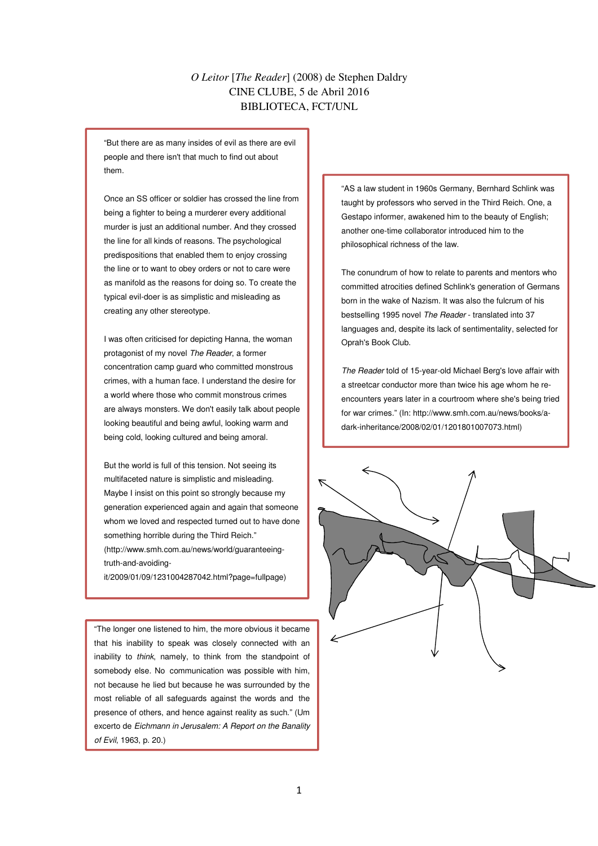## *O Leitor* [*The Reader*] (2008) de Stephen Daldry CINE CLUBE, 5 de Abril 2016 BIBLIOTECA, FCT/UNL

"But there are as many insides of evil as there are evil people and there isn't that much to find out about them.

Once an SS officer or soldier has crossed the line from being a fighter to being a murderer every additional murder is just an additional number. And they crossed the line for all kinds of reasons. The psychological predispositions that enabled them to enjoy crossing the line or to want to obey orders or not to care were as manifold as the reasons for doing so. To create the typical evil-doer is as simplistic and misleading as creating any other stereotype.

I was often criticised for depicting Hanna, the woman protagonist of my novel The Reader, a former concentration camp guard who committed monstrous crimes, with a human face. I understand the desire for a world where those who commit monstrous crimes are always monsters. We don't easily talk about people looking beautiful and being awful, looking warm and being cold, looking cultured and being amoral.

But the world is full of this tension. Not seeing its multifaceted nature is simplistic and misleading. Maybe I insist on this point so strongly because my generation experienced again and again that someone whom we loved and respected turned out to have done something horrible during the Third Reich." (http://www.smh.com.au/news/world/guaranteeingtruth-and-avoiding-

it/2009/01/09/1231004287042.html?page=fullpage)

"The longer one listened to him, the more obvious it became that his inability to speak was closely connected with an inability to think, namely, to think from the standpoint of somebody else. No communication was possible with him, not because he lied but because he was surrounded by the most reliable of all safeguards against the words and the presence of others, and hence against reality as such." (Um excerto de Eichmann in Jerusalem: A Report on the Banality of Evil, 1963, p. 20.)

"AS a law student in 1960s Germany, Bernhard Schlink was taught by professors who served in the Third Reich. One, a Gestapo informer, awakened him to the beauty of English; another one-time collaborator introduced him to the philosophical richness of the law.

The conundrum of how to relate to parents and mentors who committed atrocities defined Schlink's generation of Germans born in the wake of Nazism. It was also the fulcrum of his bestselling 1995 novel The Reader - translated into 37 languages and, despite its lack of sentimentality, selected for Oprah's Book Club.

The Reader told of 15-year-old Michael Berg's love affair with a streetcar conductor more than twice his age whom he reencounters years later in a courtroom where she's being tried for war crimes." (In: http://www.smh.com.au/news/books/adark-inheritance/2008/02/01/1201801007073.html)

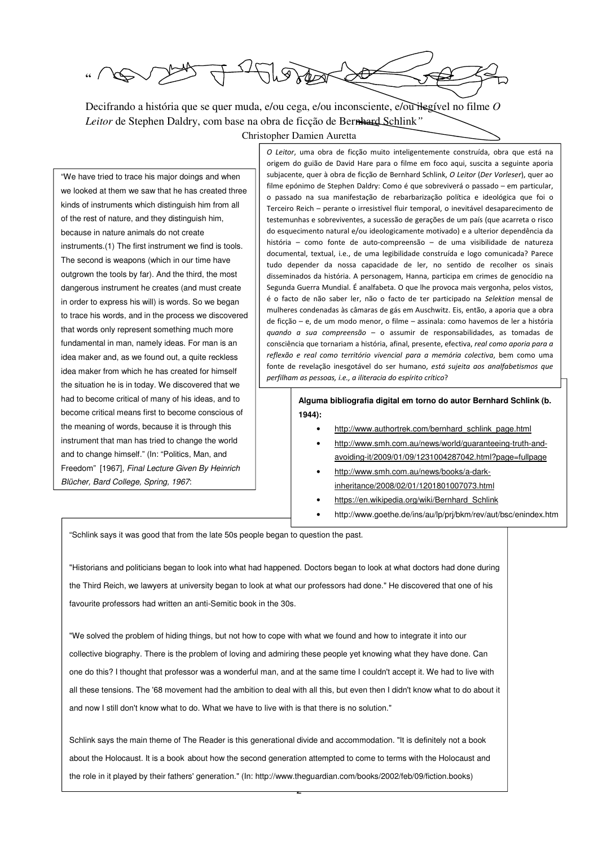$\neg L \circledast \pi$ **"** 

Decifrando a história que se quer muda, e/ou cega, e/ou inconsciente, e/ou ilegível no filme *O Leitor* de Stephen Daldry, com base na obra de ficção de Bernhard Schlink*"* Christopher Damien Auretta

 we looked at them we saw that he has created three "We have tried to trace his major doings and when kinds of instruments which distinguish him from all of the rest of nature, and they distinguish him, because in nature animals do not create instruments.(1) The first instrument we find is tools. The second is weapons (which in our time have outgrown the tools by far). And the third, the most dangerous instrument he creates (and must create in order to express his will) is words. So we began to trace his words, and in the process we discovered that words only represent something much more fundamental in man, namely ideas. For man is an idea maker and, as we found out, a quite reckless idea maker from which he has created for himself the situation he is in today. We discovered that we had to become critical of many of his ideas, and to become critical means first to become conscious of the meaning of words, because it is through this instrument that man has tried to change the world and to change himself." (In: "Politics, Man, and Freedom" [1967], Final Lecture Given By Heinrich Blücher, Bard College, Spring, 1967:

O Leitor, uma obra de ficção muito inteligentemente construída, obra que está na origem do guião de David Hare para o filme em foco aqui, suscita a seguinte aporia subjacente, quer à obra de ficção de Bernhard Schlink, O Leitor (Der Vorleser), quer ao filme epónimo de Stephen Daldry: Como é que sobreviverá o passado – em particular, o passado na sua manifestação de rebarbarização política e ideológica que foi o Terceiro Reich – perante o irresistível fluir temporal, o inevitável desaparecimento de testemunhas e sobreviventes, a sucessão de gerações de um país (que acarreta o risco do esquecimento natural e/ou ideologicamente motivado) e a ulterior dependência da história – como fonte de auto-compreensão – de uma visibilidade de natureza documental, textual, i.e., de uma legibilidade construída e logo comunicada? Parece tudo depender da nossa capacidade de ler, no sentido de recolher os sinais disseminados da história. A personagem, Hanna, participa em crimes de genocídio na Segunda Guerra Mundial. É analfabeta. O que lhe provoca mais vergonha, pelos vistos, é o facto de não saber ler, não o facto de ter participado na Selektion mensal de mulheres condenadas às câmaras de gás em Auschwitz. Eis, então, a aporia que a obra de ficção – e, de um modo menor, o filme – assinala: como havemos de ler a história quando a sua compreensão – o assumir de responsabilidades, as tomadas de consciência que tornariam a história, afinal, presente, efectiva, real como aporia para a reflexão e real como território vivencial para a memória colectiva, bem como uma fonte de revelação inesgotável do ser humano, está sujeita aos analfabetismos que perfilham as pessoas, i.e., a iliteracia do espírito crítico?

> **Alguma bibliografia digital em torno do autor Bernhard Schlink (b. 1944):**

- http://www.authortrek.com/bernhard\_schlink\_page.html
- http://www.smh.com.au/news/world/guaranteeing-truth-andavoiding-it/2009/01/09/1231004287042.html?page=fullpage
- http://www.smh.com.au/news/books/a-darkinheritance/2008/02/01/1201801007073.html
- https://en.wikipedia.org/wiki/Bernhard\_Schlink
- http://www.goethe.de/ins/au/lp/prj/bkm/rev/aut/bsc/enindex.htm

"Schlink says it was good that from the late 50s people began to question the past.

"Historians and politicians began to look into what had happened. Doctors began to look at what doctors had done during the Third Reich, we lawyers at university began to look at what our professors had done." He discovered that one of his favourite professors had written an anti-Semitic book in the 30s.

"We solved the problem of hiding things, but not how to cope with what we found and how to integrate it into our collective biography. There is the problem of loving and admiring these people yet knowing what they have done. Can one do this? I thought that professor was a wonderful man, and at the same time I couldn't accept it. We had to live with all these tensions. The '68 movement had the ambition to deal with all this, but even then I didn't know what to do about it and now I still don't know what to do. What we have to live with is that there is no solution."

about the Holocaust. It is a book about how the second generation attempted to come to terms with the Holocaust and Schlink says the main theme of The Reader is this generational divide and accommodation. "It is definitely not a book the role in it played by their fathers' generation." (In: http://www.theguardian.com/books/2002/feb/09/fiction.books)

2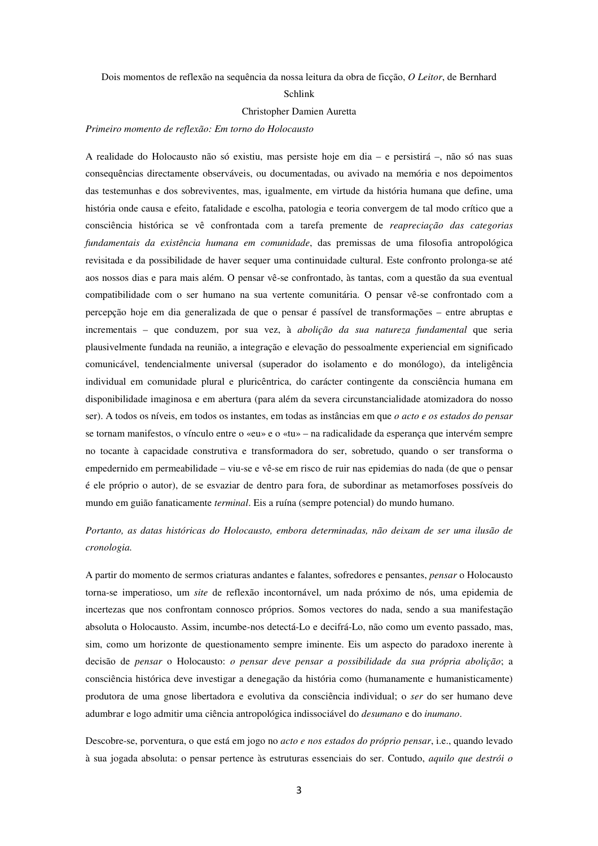Dois momentos de reflexão na sequência da nossa leitura da obra de ficção, *O Leitor*, de Bernhard

#### Schlink

### Christopher Damien Auretta

#### *Primeiro momento de reflexão: Em torno do Holocausto*

A realidade do Holocausto não só existiu, mas persiste hoje em dia – e persistirá –, não só nas suas consequências directamente observáveis, ou documentadas, ou avivado na memória e nos depoimentos das testemunhas e dos sobreviventes, mas, igualmente, em virtude da história humana que define, uma história onde causa e efeito, fatalidade e escolha, patologia e teoria convergem de tal modo crítico que a consciência histórica se vê confrontada com a tarefa premente de *reapreciação das categorias fundamentais da existência humana em comunidade*, das premissas de uma filosofia antropológica revisitada e da possibilidade de haver sequer uma continuidade cultural. Este confronto prolonga-se até aos nossos dias e para mais além. O pensar vê-se confrontado, às tantas, com a questão da sua eventual compatibilidade com o ser humano na sua vertente comunitária. O pensar vê-se confrontado com a percepção hoje em dia generalizada de que o pensar é passível de transformações – entre abruptas e incrementais – que conduzem, por sua vez, à *abolição da sua natureza fundamental* que seria plausivelmente fundada na reunião, a integração e elevação do pessoalmente experiencial em significado comunicável, tendencialmente universal (superador do isolamento e do monólogo), da inteligência individual em comunidade plural e pluricêntrica, do carácter contingente da consciência humana em disponibilidade imaginosa e em abertura (para além da severa circunstancialidade atomizadora do nosso ser). A todos os níveis, em todos os instantes, em todas as instâncias em que *o acto e os estados do pensar* se tornam manifestos, o vínculo entre o «eu» e o «tu» – na radicalidade da esperança que intervém sempre no tocante à capacidade construtiva e transformadora do ser, sobretudo, quando o ser transforma o empedernido em permeabilidade – viu-se e vê-se em risco de ruir nas epidemias do nada (de que o pensar é ele próprio o autor), de se esvaziar de dentro para fora, de subordinar as metamorfoses possíveis do mundo em guião fanaticamente *terminal*. Eis a ruína (sempre potencial) do mundo humano.

# *Portanto, as datas históricas do Holocausto, embora determinadas, não deixam de ser uma ilusão de cronologia.*

A partir do momento de sermos criaturas andantes e falantes, sofredores e pensantes, *pensar* o Holocausto torna-se imperatioso, um *site* de reflexão incontornável, um nada próximo de nós, uma epidemia de incertezas que nos confrontam connosco próprios. Somos vectores do nada, sendo a sua manifestação absoluta o Holocausto. Assim, incumbe-nos detectá-Lo e decifrá-Lo, não como um evento passado, mas, sim, como um horizonte de questionamento sempre iminente. Eis um aspecto do paradoxo inerente à decisão de *pensar* o Holocausto: *o pensar deve pensar a possibilidade da sua própria abolição*; a consciência histórica deve investigar a denegação da história como (humanamente e humanisticamente) produtora de uma gnose libertadora e evolutiva da consciência individual; o *ser* do ser humano deve adumbrar e logo admitir uma ciência antropológica indissociável do *desumano* e do *inumano*.

Descobre-se, porventura, o que está em jogo no *acto e nos estados do próprio pensar*, i.e., quando levado à sua jogada absoluta: o pensar pertence às estruturas essenciais do ser. Contudo, *aquilo que destrói o*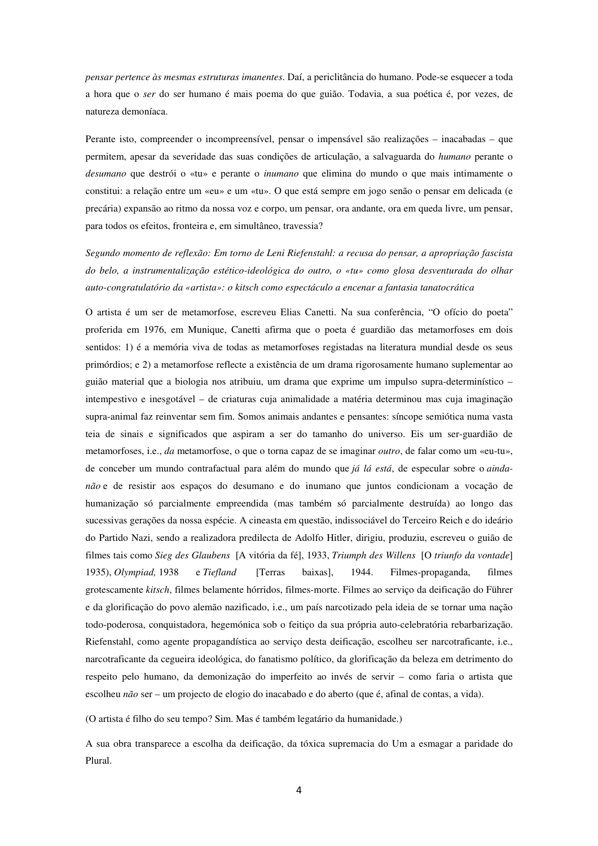*pensar pertence às mesmas estruturas imanentes*. Daí, a periclitância do humano. Pode-se esquecer a toda a hora que o *ser* do ser humano é mais poema do que guião. Todavia, a sua poética é, por vezes, de natureza demoníaca.

Perante isto, compreender o incompreensível, pensar o impensável são realizações – inacabadas – que permitem, apesar da severidade das suas condições de articulação, a salvaguarda do *humano* perante o *desumano* que destrói o «tu» e perante o *inumano* que elimina do mundo o que mais intimamente o constitui: a relação entre um «eu» e um «tu». O que está sempre em jogo senão o pensar em delicada (e precária) expansão ao ritmo da nossa voz e corpo, um pensar, ora andante, ora em queda livre, um pensar, para todos os efeitos, fronteira e, em simultâneo, travessia?

*Segundo momento de reflexão: Em torno de Leni Riefenstahl: a recusa do pensar, a apropriação fascista do belo, a instrumentalização estético-ideológica do outro, o «tu» como glosa desventurada do olhar auto-congratulatório da «artista»: o kitsch como espectáculo a encenar a fantasia tanatocrática*

O artista é um ser de metamorfose, escreveu Elias Canetti. Na sua conferência, "O ofício do poeta" proferida em 1976, em Munique, Canetti afirma que o poeta é guardião das metamorfoses em dois sentidos: 1) é a memória viva de todas as metamorfoses registadas na literatura mundial desde os seus primórdios; e 2) a metamorfose reflecte a existência de um drama rigorosamente humano suplementar ao guião material que a biologia nos atribuiu, um drama que exprime um impulso supra-determinístico – intempestivo e inesgotável – de criaturas cuja animalidade a matéria determinou mas cuja imaginação supra-animal faz reinventar sem fim. Somos animais andantes e pensantes: síncope semiótica numa vasta teia de sinais e significados que aspiram a ser do tamanho do universo. Eis um ser-guardião de metamorfoses, i.e., *da* metamorfose, o que o torna capaz de se imaginar *outro*, de falar como um «eu-tu», de conceber um mundo contrafactual para além do mundo que *já lá está*, de especular sobre o *aindanão* e de resistir aos espaços do desumano e do inumano que juntos condicionam a vocação de humanização só parcialmente empreendida (mas também só parcialmente destruída) ao longo das sucessivas gerações da nossa espécie. A cineasta em questão, indissociável do Terceiro Reich e do ideário do Partido Nazi, sendo a realizadora predilecta de Adolfo Hitler, dirigiu, produziu, escreveu o guião de filmes tais como *Sieg des Glaubens* [A vitória da fé], 1933, *Triumph des Willens* [O *triunfo da vontade*] 1935), *Olympiad,* 1938 e *Tiefland* [Terras baixas], 1944. Filmes-propaganda, filmes grotescamente *kitsch*, filmes belamente hórridos, filmes-morte. Filmes ao serviço da deificação do Führer e da glorificação do povo alemão nazificado, i.e., um país narcotizado pela ideia de se tornar uma nação todo-poderosa, conquistadora, hegemónica sob o feitiço da sua própria auto-celebratória rebarbarização. Riefenstahl, como agente propagandística ao serviço desta deificação, escolheu ser narcotraficante, i.e., narcotraficante da cegueira ideológica, do fanatismo político, da glorificação da beleza em detrimento do respeito pelo humano, da demonização do imperfeito ao invés de servir – como faria o artista que escolheu *não* ser – um projecto de elogio do inacabado e do aberto (que é, afinal de contas, a vida).

(O artista é filho do seu tempo? Sim. Mas é também legatário da humanidade.)

A sua obra transparece a escolha da deificação, da tóxica supremacia do Um a esmagar a paridade do Plural.